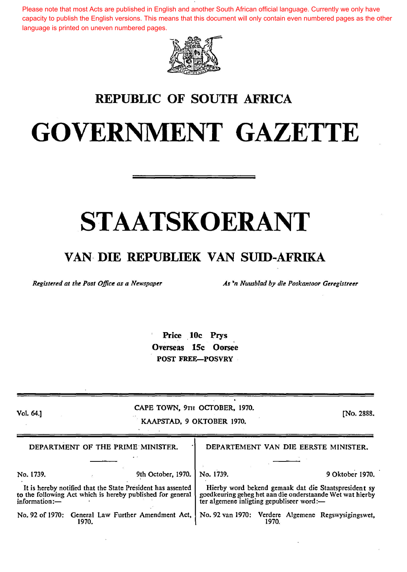Please note that most Acts are published in English and another South African official language. Currently we only have capacity to publish the English versions. This means that this document will only contain even numbered pages as the other language is printed on uneven numbered pages.



### REPUBLIC OF SOUTH AFRICA

# GOVERNMENT GAZETTE

# STAATSKOERANT

### VAN· DIE REPUBLIEK VAN SUID-AFRIKA

*Registered at the Post Office as a Newspaper*  $\overline{A}$  *As 'n Nuusblad by die Poskantoor Geregistreer* 

Price 10c Prys Overseas 15c Oorsee POST FREE-POSVRY

| Vol. 64.1     |                                                                                                                           | CAPE TOWN, 9TH OCTOBER, 1970.<br>KAAPSTAD, 9 OKTOBER 1970. |                                                                                                                                                                |       |  |                                                     |  |  |
|---------------|---------------------------------------------------------------------------------------------------------------------------|------------------------------------------------------------|----------------------------------------------------------------------------------------------------------------------------------------------------------------|-------|--|-----------------------------------------------------|--|--|
|               | DEPARTMENT OF THE PRIME MINISTER.                                                                                         | DEPARTEMENT VAN DIE EERSTE MINISTER.                       |                                                                                                                                                                |       |  |                                                     |  |  |
|               |                                                                                                                           |                                                            |                                                                                                                                                                |       |  |                                                     |  |  |
| No. 1739.     |                                                                                                                           | 9th October, 1970.                                         | No. 1739.                                                                                                                                                      |       |  | 9 Oktober 1970.                                     |  |  |
| information:- | It is hereby notified that the State President has assented<br>to the following Act which is hereby published for general |                                                            | Hierby word bekend gemaak dat die Staatspresident sy<br>goedkeuring geheg het aan die onderstaande Wet wat hierby<br>ter algemene inligting gepubliseer word:- |       |  |                                                     |  |  |
|               | No. 92 of 1970: General Law Further Amendment Act,<br>1970.                                                               |                                                            |                                                                                                                                                                | 1970. |  | No. 92 van 1970: Verdere Algemene Regswysigingswet, |  |  |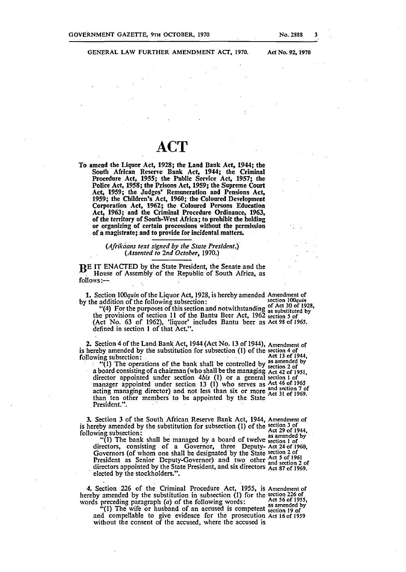### GENERAL LAW FURTHER AMENDMENT ACT, 1970.

Act No. 92, 1970

## **ACT**

To amend the Liquor Act, 1928; the Land Bank Act, 1944; the South African Resene Bank Act, 1944; the Criminal Procedure Act, 1955; the Public Service Act, 1957; the Police Act, 1958; the Prisons Act, 1959; the Supreme Court Act, 1959; the Judges' Remuneration and Pensions Act, 1959; the Children's Act, 1960; the Coloured Development Corporation Act, 1962; the Coloured Persons Education Act, 1963; and the Criminal Procedure Ordinance, 1963, of the territory of Sooth-West Africa; to prohibit the holding or organizing of certain processions without the permission of a magistrate; and to provide for incidental matters.

### (Afrikaans text signed by the State President.) *(Assented to 2nd October,* 1970.)

BE IT ENACTED by the State President, the Senate and the House of Assembly of the Republic of South Africa, as follows:-

1. Section 100quin of the Liquor Act, 1928, is hereby amended Amendment of by the addition of the following subsection: by the addition of the following subsection: section 100*quin* section **100***quin* 

"(4) For the purposes of this section and notwithstanding of Act 30 of 1928,<br>the provisions of section 11 of the Bantu Beer Act, 1962 section 5 of (Act No. 63 of 1962), 'liquor' includes Bantu beer as Act 98 of 1965. defined in section I of that Act.".

2. Section 4 of the Land Bank Act, 1944 (Act No. 13 of 1944), Amendment of is hereby amended by the substitution for subsection (1) of the section 4 of following subsection:  $\frac{\text{Act}}{\text{Act}}$  13 of 1944, following subsection:  $\qquad \qquad \text{Act } 13 \text{ of } 1944,$ 

 $\cdot$  "(1) The operations of the bank shall be controlled by as amended by a board consisting of a chairman (who shall be the managing Act 42 of 1951. director appointed under section *4bis* (I) or a general section I of ' manager appointed under section 13 (1) who serves as Act 46 of 1965 acting managing director) and not less than six or more and section 7 of than ten other members to be appointed by the State President.".

3. Section 3 of the South African Reserve Bank Act, 1944, Amendment of is here.by amende~ by the substitution for subsection (I) of the ~~:i~~ ~r~f944 followmg subsection: , . as amended by'

ng subsection:<br>"(1) The bank shall be managed by a board of twelve section 1 of" directors, consisting of a Governor, three Deputy- Act 24 of 1960, Governors (of whom one shall be designated by the State section 2 of President as Senior Deputy-Governor) and two other and section 2 of directors appointed by the State President, and six directors  $\frac{X}{A}$  and  $\frac{X}{A}$  of 1969. elected by the stockholders.".

4. Section 226 of the Criminal Procedure Act, 1955, is Amendment of hereby amended by the substitution in subsection (I) for the section 226 of

words preceding paragraph (a) of the following words: Act 56 of 1955,<br>
"(1) The wife or husband of an accused is competent section 19 of<br>
and competialle to give evidence for the accessation 19 of and compellable to give evidence for the prosecution Act 16 of *1959*  without the consent of the accused, where the accused is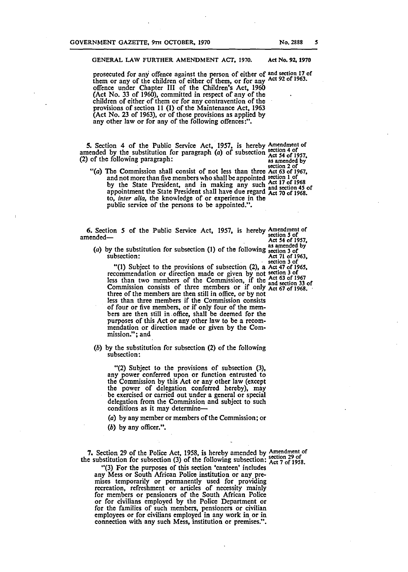prosecuted for any offence against the person of either of and section 17 of them or any of the children of either of them, or for any Act 92 of 1963. offence under Chapter III of the Children's Act, 1960 (Act No. 33 of 1960), committed in respect of any of the children of either of them or for any contravention of the provisions of section 11 (1) of the Maintenance Act, 1963 (Act No. 23 of 1963), or of those provisions as applied by any other law or for any of the following offences:".

5. Section 4 of the Public Service Act, 1957, is hereby Amendment of amended by the substitution for paragraph (a) of subsection  $\frac{\text{section}}{\text{Act}}$  54 of 1957, (2) of the following paragraph: as amended by as amended by<br>section 2 of

*"(a)* The Commission shall consist of not less than three Act 63 of 1967, and not more than five members who shall be appointed section 1 of<br>by the State President, and in making any such and section 45 of appointment the State President shall have due regard Act 70 of 1968. to, *inter alia,* the knowledge of or experience in the public service of the persons to be appointed.".

6. Section 5 of the Public Service Act, 1957, is hereby Amendment of section 5 of amended—<br>amended—<br>Act 54 of 1957,

(a) by the substitution for subsection (1) of the f~llowing ~a::;~3d~1 by subsection: Act 71 of 1963, . · section 3 of

"(1) Subject to the provisions of subsection (2), a Act 47 of 1965, recommendation or direction made or given by not section 3 of<br>less than two members of the Commission, if the and section 33 of<br>Commission consists of three members or if only Act 67 of 1968. three of the members are then still in office, or by not less than three members if the Commission consists of four or five members, or if only four of the members are then still in .office, shall be deemed for the purposes of this Act or any other law to be a recommendation or direction made or given by the Commission."; and

(b) by the substitution for subsection (2) of the following subsection:

"(2) Subject to the provisions of subsection (3), any power conferred upon or function entrusted to the Commission by this Act or any other law (except the power of delegation conferred hereby), may be exercised or carried out under a general or special delegation from the Commission and subject to such conditions as it may determine-

*(a)* by any member or members of the Commission; or

(b) by any officer.".

7. Section 29 of the Police Act, 1958, is hereby amended by Amendment of the substitution for subsection (3) of the following subsection: Act 7 of 1958.

"(3) For the purposes of this section 'canteen' includes any Mess or South African Police institution or any premises temporarily or permanently used for providing recreation, refreshment or articles of necessity mainly for members or pensioners of the South African Police or for civilians employed by the Police Department or for the families of such members, pensioners or civilian employees or for civilians employed in any work in or in connection with any such Mess, institution or premises.".

*s*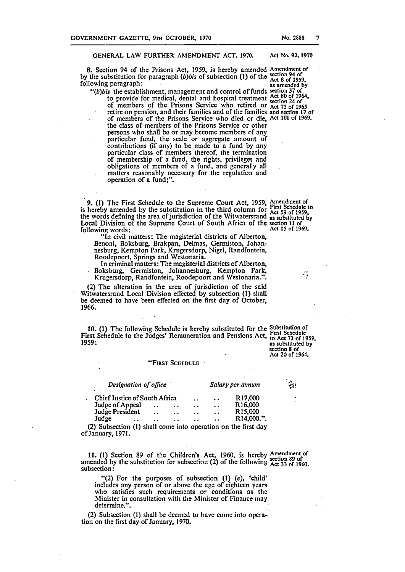#### GENERAL LAW FURTHER AMENDMENT ACT, 1970. Act No. 92, 1970

8. Section 94 of the Prisons Act, 1959, is hereby amended Amendment of by the substitution for paragraph *(b)bis* of subsection (1) of the  $^{20}$  following paragraph:<br>following paragraph: as amended by

*"(b)bis* the establishment, management and control of funds section *31* of to provide for medical, dental and hospital treatment Act 80 of 1964, to provide for medical, dental and hospital treatment section 24 of<br>of members of the Prisons Service who retired or Act 75 of 1965 retire on pension, and their families and of the families and section 17 of of members of the Prisons Service· who died or die, Act 101 of 1969. the class of members of the Prisons Service or other persons who shall be or may become members of any particular fund, the scale or aggregate amount of contributions (if any) to be made to a fund by any particular class of members thereof, the termination of membership of a fund, the rights, privileges and obligations of members of a fund, and generally all matters reasonably necessary for the regulation and operation of a fund;".

9. (1) The First Schedule to the Supreme Court Act, 1959, Amendment of is hereby amended by the substitution in the third column for  $\frac{1}{15}$  Act 59 of 1959, the words defining the area of jurisdiction of the Witwatersrand as substituted by Local Division of the Supreme Court of South Africa of the section 11 of following words:<br>following words: following words:  $\qquad \qquad$  Act 15 of 1969.

"In civil matters: The magisterial districts of Alberton, Benoni, Boksburg, Brakpan, Delmas, Germiston, Johannesburg, Kempton Park, Krugersdorp, Nigel, Randfontein, Roodepoort, Springs and Westonaria.

In criminal matters: The magisterial districts of Alberton, Boksburg, Germiston, Johannesburg, Kempton Park, Krugersdorp, Randfontein, Roodepoort and Westonaria.".

(2) The alteration in the area of jurisdiction of the said Witwatersrand Local Division effected by subsection (I) shall be deemed to have been effected on the first day of October, 1966.

10. (1) The following Schedule is hereby substituted for the Substitution of First Schedule to the Judges' Remuneration and Pensions Act, First Schedule • First Schedule • First Schedule 1959, as substituted by

section 8 of Act 20 of 1964.

 $\mathcal{L}$ 

### "FIRST SCHEDULE

| Designation of office<br>٠                                    |                      | સુંશ                 |                      |                      |                         |  |
|---------------------------------------------------------------|----------------------|----------------------|----------------------|----------------------|-------------------------|--|
| Chief Justice of South Africa                                 |                      |                      | $\ddot{\phantom{a}}$ | $\ddot{\phantom{a}}$ | R <sub>17</sub> ,000    |  |
| Judge of Appeal                                               | $\ddot{\phantom{1}}$ | $\ddot{\phantom{a}}$ | . .                  | $\ddot{\phantom{a}}$ | R <sub>16</sub> ,000    |  |
| Judge President                                               | $\sim$ $\sim$        | $\bullet$            | $\ddot{\phantom{a}}$ | $\ddot{\phantom{1}}$ | R <sub>15</sub> ,000    |  |
| Judge<br>$\bullet$                                            | . .                  | $\bullet$            | $\ddot{\phantom{a}}$ | $\ddot{\phantom{a}}$ | R <sub>14</sub> ,000.". |  |
| (2) Subsection (1) shall come into operation on the first day |                      |                      |                      |                      |                         |  |

of January, 1971. ·

11. (1) Section 89 of the Children's Act, 1960, is hereby Amendment of amended by the substitution for subsection (2) of the following  $\frac{3}{100}$  and  $\frac{3}{100}$ . subsection:

"(2) For the purposes of subsection  $(1)$   $(c)$ , 'child' includes any person of or above the age of eighteen years who satisfies such requirements or conditions as the Minister in consultation with the Minister of Finance may, determine.".

(2) Subsection (I) shall be deemed to have come into opera-' tion on the first day of January, 1970.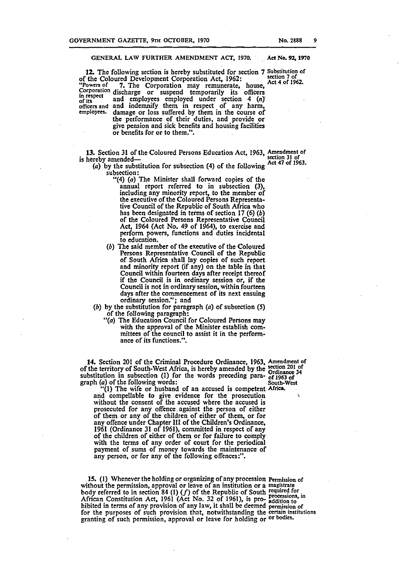#### GENERAL LAW FURTHER AMENDMENT ACT, 1970. Act No. 92, 1970

12. The following section is hereby substituted for section 7 Substitution of  $\frac{1052}{105}$ 12. The rollowing section is nereby substituted for section 7 substitution of<br>of the Coloured Development Corporation Act, 1962:<br>"Powers of 7. The Corporation may remunerate, house, Act 4 of 1962. "Powers of 7. The Corporation may remunerate, house, Corporation discharge or suspend temporarily its officers in respect  $\frac{m}{p}$  respect and employees employed under section 4 (n) officers and and indemnify them in respect of any harm, employees. damage or loss suffered by them in the course of the performance of their duties, and provide or give pension and sick benefits and housing facilities or benefits for or to them.".

13. Section 31 of the Coloured Persons Education Act, 1963, Amendment of hereby amended is hereby amended—<br>(a) by the substitution for subcastion  $(4)$  of the following ACt 47 of 1963.

(a) by the substitution for subsection (4) of the following subsection:

- "(4) (a) The Minister shall forward copies of the annual report referred to in subsection (3), including any minority report, to the member of the executive of the Coloured Persons Representative Council of the Republic of South Africa who has been designated in terms of seetion 17 (6) (b) of the Coloured Persons Representative Council Act, 1964 (Act No. 49 of 1964), to exercise and perform powers, functions and duties incidental to education.
- (b) The said member of the executive of the Coloured Persons Representative Council of the Republic of South Africa shall lay copies of such report and minority report (if any) on the table in that Council within fourteen days after receipt thereof if the Council is in ordinary session or, if the Council is not in ordinary session, within fourteen days after the commencement of its next ensuing ordinary session.''; and
- (b) by the substitution for paragraph (a) of subsection (5) of the following paragraph:
	- "(a) The Education Council for Coloured Persons may with the approval of the Minister establish committees of the council to assist it in the performance of its functions.".

14. Section 201 of the Criminal Procedure Ordinance, 1963, Amendment of of the territory of South-West Africa, is hereby amended by the section 201 of<br>cubstitution in subpositor. (1) for the words preceding page. Ordinance 34 substitution in subsection (1) for the words preceding para- of 1963 of graph (a) of the following words: South-West graph (a) of the following words:<br>"(1) The wife or husband of an accused is competent Africa.

and compellable to give evidence for the prosecution without the consent of ihe accused where the accused is prosecuted for any offence. against the person of either of them or any of the children of either of them, or for any offence under Chapter III of the Children's Ordinance, 1961 (Ordinance 31 of 1961), committed in respect of any of the children of either of them or for failure to comply with the terms of any order of court for the periodical payment of sums of money towards the maintenance of any person, or for any of the following offences:".

15. (I) Whenever the holding or organizing of any procession Permission of without the permission, approval or leave of an institution or a magistrate<br>body referred to in section 84 (1) (f) of the Republic of South required for African Constitution Act, 1961 (Act No. 32 of 1961), is pro- $_{addition}^{10}$  to hibited in terms of any provision of any law, it shall be deemed permission of for the purposes of such provision that, notwithstanding the certain institutions granting of such permission, approval or leave for holding or <sup>or bodies.</sup>